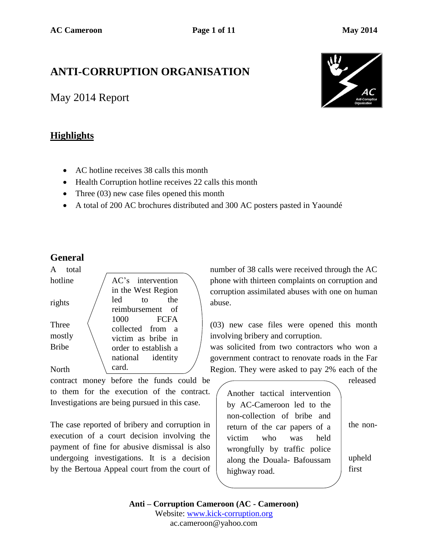# **ANTI-CORRUPTION ORGANISATION**

May 2014 Report

## **Highlights**



- AC hotline receives 38 calls this month
- Health Corruption hotline receives 22 calls this month
- Three (03) new case files opened this month
- A total of 200 AC brochures distributed and 300 AC posters pasted in Yaoundé

### **General**

| A<br>total   |                      | numbe              |
|--------------|----------------------|--------------------|
| hotline      | AC's intervention    | phone <sup>s</sup> |
|              | in the West Region   | corrupt            |
| rights       | led<br>the<br>to     | abuse.             |
|              | reimbursement of     |                    |
|              | 1000<br>FCFA         |                    |
| Three        | collected from a     | $(03)$ n           |
| mostly       | victim as bribe in   | involvi            |
| <b>Bribe</b> | order to establish a | was sc             |
|              | national identity    | govern             |
| North        | card.                | Region             |

contract money before the funds could be released to them for the execution of the contract. Investigations are being pursued in this case.

The case reported of bribery and corruption in  $\vert$  return of the car papers of a  $\vert$  the nonexecution of a court decision involving the payment of fine for abusive dismissal is also undergoing investigations. It is a decision  $\vert$  along the Douala-Bafoussam upheld by the Bertoua Appeal court from the court of  $\vert$  highway road first

number of 38 calls were received through the AC phone with thirteen complaints on corruption and corruption assimilated abuses with one on human

 $(03)$  new case files were opened this month involving bribery and corruption.

was solicited from two contractors who won a government contract to renovate roads in the Far Region. They were asked to pay 2% each of the

Another tactical intervention by AC-Cameroon led to the non-collection of bribe and return of the car papers of a victim who was held wrongfully by traffic police along the Douala- Bafoussam highway road.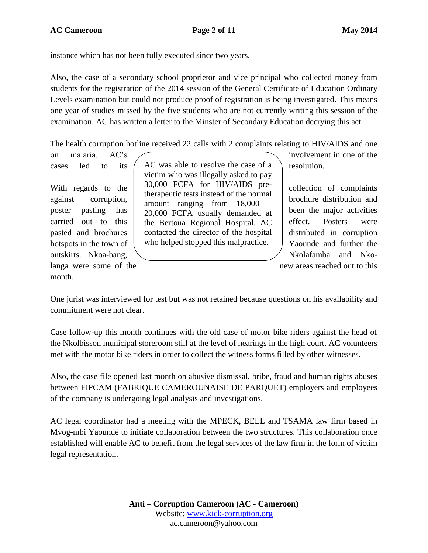instance which has not been fully executed since two years.

Also, the case of a secondary school proprietor and vice principal who collected money from students for the registration of the 2014 session of the General Certificate of Education Ordinary Levels examination but could not produce proof of registration is being investigated. This means one year of studies missed by the five students who are not currently writing this session of the examination. AC has written a letter to the Minster of Secondary Education decrying this act.

The health corruption hotline received 22 calls with 2 complaints relating to HIV/AIDS and one

langa were some of the new areas reached out to this

month.

cases led to its  $\left($  AC was able to resolve the case of a  $\right)$  resolution. victim who was illegally asked to pay 30,000 FCFA for HIV/AIDS pretherapeutic tests instead of the normal amount ranging from 18,000 – 20,000 FCFA usually demanded at poster pasting has been the major activities carried out to this the Bertoua Regional Hospital. AC effect. Posters were pasted and brochures  $\parallel$  contacted the director of the hospital  $\parallel$  distributed in corruption hotspots in the town of  $\parallel$  who helped stopped this malpractice.  $\parallel$  Yaounde and further the With regards to the  $\sim$  50,000 FCFA to  $\sim$  COLLECTION  $\sim$  collection of complaints against corruption, meant repoint from 19,000 brochure distribution and

on malaria AC's involvement in one of the

outskirts. Nkoa-bang,  $\setminus$  Nkolafamba and Nko-

One jurist was interviewed for test but was not retained because questions on his availability and commitment were not clear.

Case follow-up this month continues with the old case of motor bike riders against the head of the Nkolbisson municipal storeroom still at the level of hearings in the high court. AC volunteers met with the motor bike riders in order to collect the witness forms filled by other witnesses.

Also, the case file opened last month on abusive dismissal, bribe, fraud and human rights abuses between FIPCAM (FABRIQUE CAMEROUNAISE DE PARQUET) employers and employees of the company is undergoing legal analysis and investigations.

AC legal coordinator had a meeting with the MPECK, BELL and TSAMA law firm based in Mvog-mbi Yaoundé to initiate collaboration between the two structures. This collaboration once established will enable AC to benefit from the legal services of the law firm in the form of victim legal representation.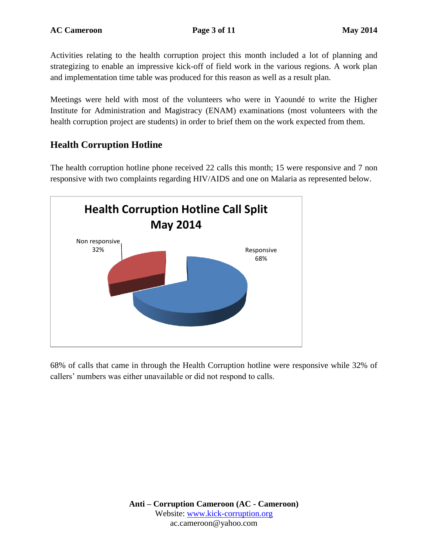Activities relating to the health corruption project this month included a lot of planning and strategizing to enable an impressive kick-off of field work in the various regions. A work plan and implementation time table was produced for this reason as well as a result plan.

Meetings were held with most of the volunteers who were in Yaoundé to write the Higher Institute for Administration and Magistracy (ENAM) examinations (most volunteers with the health corruption project are students) in order to brief them on the work expected from them.

## **Health Corruption Hotline**

The health corruption hotline phone received 22 calls this month; 15 were responsive and 7 non responsive with two complaints regarding HIV/AIDS and one on Malaria as represented below.



68% of calls that came in through the Health Corruption hotline were responsive while 32% of callers' numbers was either unavailable or did not respond to calls.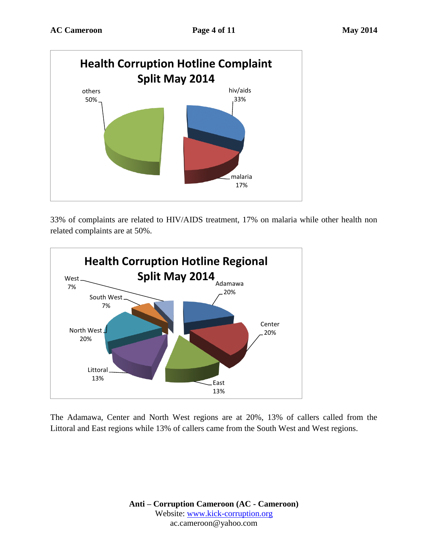

33% of complaints are related to HIV/AIDS treatment, 17% on malaria while other health non related complaints are at 50%.



The Adamawa, Center and North West regions are at 20%, 13% of callers called from the Littoral and East regions while 13% of callers came from the South West and West regions.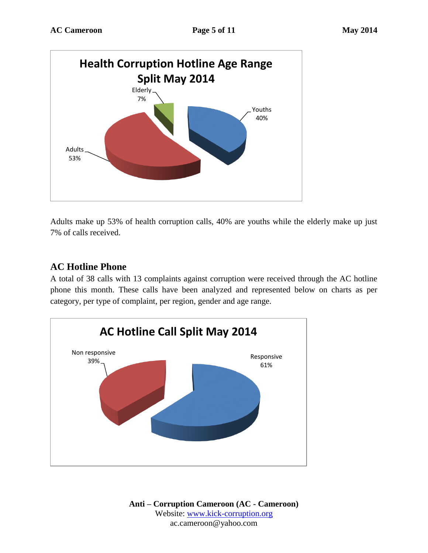

Adults make up 53% of health corruption calls, 40% are youths while the elderly make up just 7% of calls received.

### **AC Hotline Phone**

A total of 38 calls with 13 complaints against corruption were received through the AC hotline phone this month. These calls have been analyzed and represented below on charts as per category, per type of complaint, per region, gender and age range.

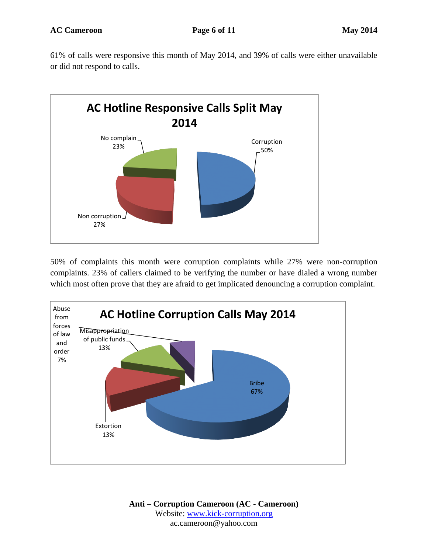61% of calls were responsive this month of May 2014, and 39% of calls were either unavailable or did not respond to calls.



50% of complaints this month were corruption complaints while 27% were non-corruption complaints. 23% of callers claimed to be verifying the number or have dialed a wrong number which most often prove that they are afraid to get implicated denouncing a corruption complaint.

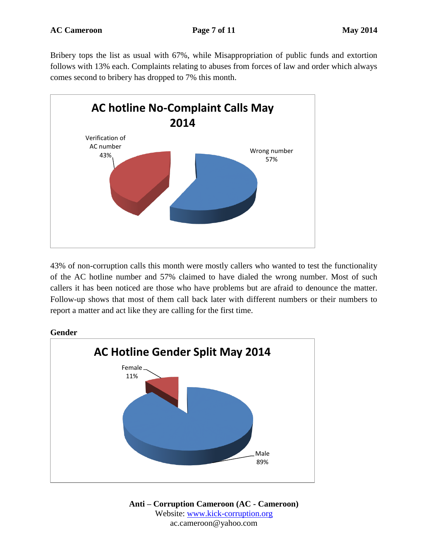Bribery tops the list as usual with 67%, while Misappropriation of public funds and extortion follows with 13% each. Complaints relating to abuses from forces of law and order which always comes second to bribery has dropped to 7% this month.



43% of non-corruption calls this month were mostly callers who wanted to test the functionality of the AC hotline number and 57% claimed to have dialed the wrong number. Most of such callers it has been noticed are those who have problems but are afraid to denounce the matter. Follow-up shows that most of them call back later with different numbers or their numbers to report a matter and act like they are calling for the first time.

#### **Gender**

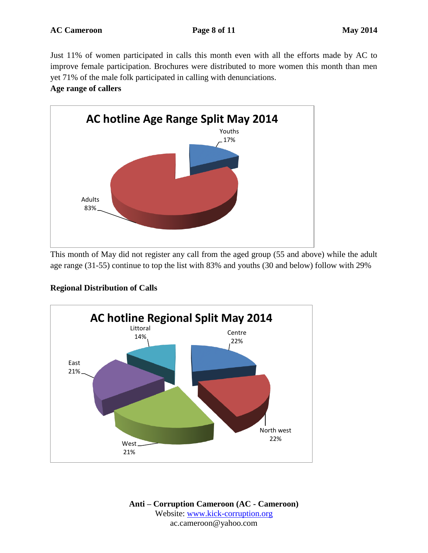Just 11% of women participated in calls this month even with all the efforts made by AC to improve female participation. Brochures were distributed to more women this month than men yet 71% of the male folk participated in calling with denunciations.

#### **Age range of callers**



This month of May did not register any call from the aged group (55 and above) while the adult age range (31-55) continue to top the list with 83% and youths (30 and below) follow with 29%

#### **Regional Distribution of Calls**

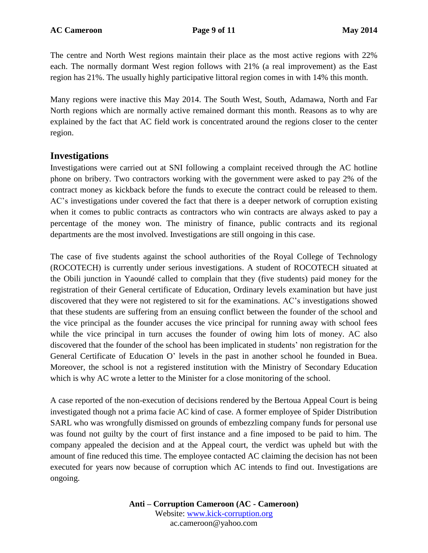The centre and North West regions maintain their place as the most active regions with 22% each. The normally dormant West region follows with 21% (a real improvement) as the East region has 21%. The usually highly participative littoral region comes in with 14% this month.

Many regions were inactive this May 2014. The South West, South, Adamawa, North and Far North regions which are normally active remained dormant this month. Reasons as to why are explained by the fact that AC field work is concentrated around the regions closer to the center region.

#### **Investigations**

Investigations were carried out at SNI following a complaint received through the AC hotline phone on bribery. Two contractors working with the government were asked to pay 2% of the contract money as kickback before the funds to execute the contract could be released to them. AC's investigations under covered the fact that there is a deeper network of corruption existing when it comes to public contracts as contractors who win contracts are always asked to pay a percentage of the money won. The ministry of finance, public contracts and its regional departments are the most involved. Investigations are still ongoing in this case.

The case of five students against the school authorities of the Royal College of Technology (ROCOTECH) is currently under serious investigations. A student of ROCOTECH situated at the Obili junction in Yaoundé called to complain that they (five students) paid money for the registration of their General certificate of Education, Ordinary levels examination but have just discovered that they were not registered to sit for the examinations. AC's investigations showed that these students are suffering from an ensuing conflict between the founder of the school and the vice principal as the founder accuses the vice principal for running away with school fees while the vice principal in turn accuses the founder of owing him lots of money. AC also discovered that the founder of the school has been implicated in students' non registration for the General Certificate of Education O' levels in the past in another school he founded in Buea. Moreover, the school is not a registered institution with the Ministry of Secondary Education which is why AC wrote a letter to the Minister for a close monitoring of the school.

A case reported of the non-execution of decisions rendered by the Bertoua Appeal Court is being investigated though not a prima facie AC kind of case. A former employee of Spider Distribution SARL who was wrongfully dismissed on grounds of embezzling company funds for personal use was found not guilty by the court of first instance and a fine imposed to be paid to him. The company appealed the decision and at the Appeal court, the verdict was upheld but with the amount of fine reduced this time. The employee contacted AC claiming the decision has not been executed for years now because of corruption which AC intends to find out. Investigations are ongoing.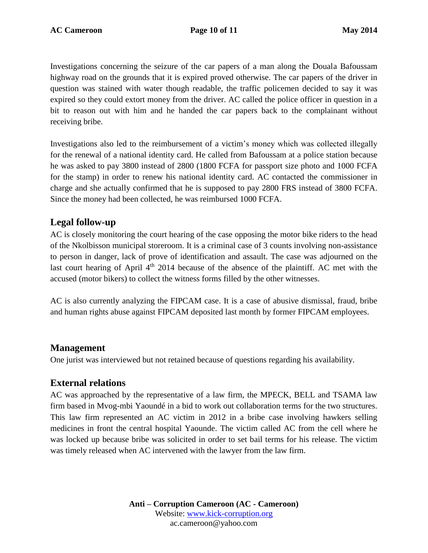Investigations concerning the seizure of the car papers of a man along the Douala Bafoussam highway road on the grounds that it is expired proved otherwise. The car papers of the driver in question was stained with water though readable, the traffic policemen decided to say it was expired so they could extort money from the driver. AC called the police officer in question in a bit to reason out with him and he handed the car papers back to the complainant without receiving bribe.

Investigations also led to the reimbursement of a victim's money which was collected illegally for the renewal of a national identity card. He called from Bafoussam at a police station because he was asked to pay 3800 instead of 2800 (1800 FCFA for passport size photo and 1000 FCFA for the stamp) in order to renew his national identity card. AC contacted the commissioner in charge and she actually confirmed that he is supposed to pay 2800 FRS instead of 3800 FCFA. Since the money had been collected, he was reimbursed 1000 FCFA.

### **Legal follow-up**

AC is closely monitoring the court hearing of the case opposing the motor bike riders to the head of the Nkolbisson municipal storeroom. It is a criminal case of 3 counts involving non-assistance to person in danger, lack of prove of identification and assault. The case was adjourned on the last court hearing of April  $4<sup>th</sup>$  2014 because of the absence of the plaintiff. AC met with the accused (motor bikers) to collect the witness forms filled by the other witnesses.

AC is also currently analyzing the FIPCAM case. It is a case of abusive dismissal, fraud, bribe and human rights abuse against FIPCAM deposited last month by former FIPCAM employees.

### **Management**

One jurist was interviewed but not retained because of questions regarding his availability.

## **External relations**

AC was approached by the representative of a law firm, the MPECK, BELL and TSAMA law firm based in Mvog-mbi Yaoundé in a bid to work out collaboration terms for the two structures. This law firm represented an AC victim in 2012 in a bribe case involving hawkers selling medicines in front the central hospital Yaounde. The victim called AC from the cell where he was locked up because bribe was solicited in order to set bail terms for his release. The victim was timely released when AC intervened with the lawyer from the law firm.